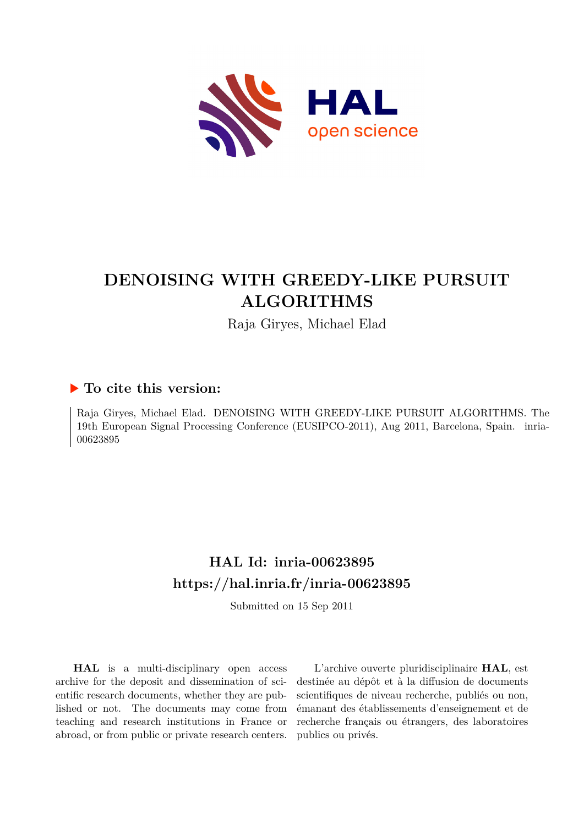

# **DENOISING WITH GREEDY-LIKE PURSUIT ALGORITHMS**

Raja Giryes, Michael Elad

# **To cite this version:**

Raja Giryes, Michael Elad. DENOISING WITH GREEDY-LIKE PURSUIT ALGORITHMS. The 19th European Signal Processing Conference (EUSIPCO-2011), Aug 2011, Barcelona, Spain. inria-00623895ff

# **HAL Id: inria-00623895 <https://hal.inria.fr/inria-00623895>**

Submitted on 15 Sep 2011

**HAL** is a multi-disciplinary open access archive for the deposit and dissemination of scientific research documents, whether they are published or not. The documents may come from teaching and research institutions in France or abroad, or from public or private research centers.

L'archive ouverte pluridisciplinaire **HAL**, est destinée au dépôt et à la diffusion de documents scientifiques de niveau recherche, publiés ou non, émanant des établissements d'enseignement et de recherche français ou étrangers, des laboratoires publics ou privés.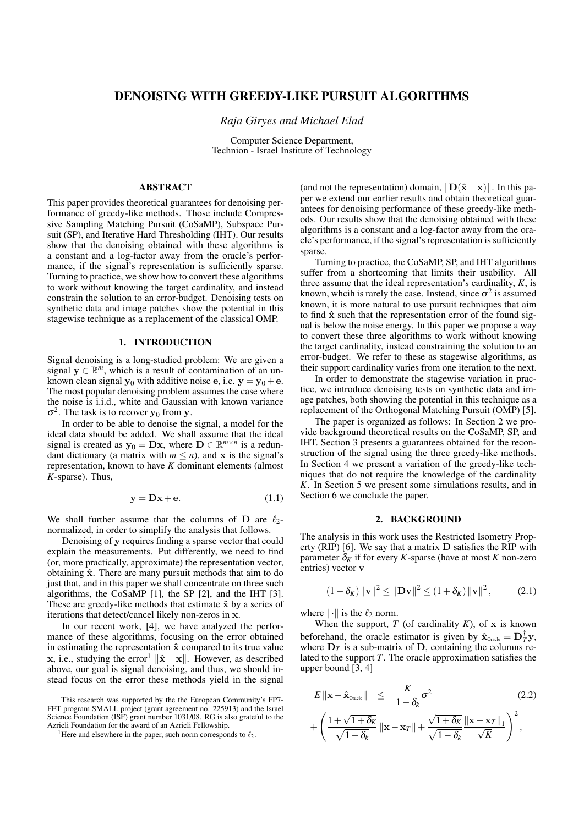# DENOISING WITH GREEDY-LIKE PURSUIT ALGORITHMS

*Raja Giryes and Michael Elad*

Computer Science Department, Technion - Israel Institute of Technology

# ABSTRACT

This paper provides theoretical guarantees for denoising performance of greedy-like methods. Those include Compressive Sampling Matching Pursuit (CoSaMP), Subspace Pursuit (SP), and Iterative Hard Thresholding (IHT). Our results show that the denoising obtained with these algorithms is a constant and a log-factor away from the oracle's performance, if the signal's representation is sufficiently sparse. Turning to practice, we show how to convert these algorithms to work without knowing the target cardinality, and instead constrain the solution to an error-budget. Denoising tests on synthetic data and image patches show the potential in this stagewise technique as a replacement of the classical OMP.

#### 1. INTRODUCTION

Signal denoising is a long-studied problem: We are given a signal  $\mathbf{y} \in \mathbb{R}^m$ , which is a result of contamination of an unknown clean signal  $y_0$  with additive noise **e**, i.e.  $y = y_0 + e$ . The most popular denoising problem assumes the case where the noise is i.i.d., white and Gaussian with known variance  $\sigma^2$ . The task is to recover **y**<sub>0</sub> from **y**.

In order to be able to denoise the signal, a model for the ideal data should be added. We shall assume that the ideal signal is created as  $y_0 = Dx$ , where  $D \in \mathbb{R}^{m \times n}$  is a redundant dictionary (a matrix with  $m \le n$ ), and **x** is the signal's representation, known to have *K* dominant elements (almost *K*-sparse). Thus,

$$
y = Dx + e. \tag{1.1}
$$

We shall further assume that the columns of  $D$  are  $\ell_2$ normalized, in order to simplify the analysis that follows.

Denoising of **y** requires finding a sparse vector that could explain the measurements. Put differently, we need to find (or, more practically, approximate) the representation vector, obtaining **ˆx**. There are many pursuit methods that aim to do just that, and in this paper we shall concentrate on three such algorithms, the CoSaMP [1], the SP [2], and the IHT [3]. These are greedy-like methods that estimate **ˆx** by a series of iterations that detect/cancel likely non-zeros in **x**.

In our recent work, [4], we have analyzed the performance of these algorithms, focusing on the error obtained in estimating the representation **ˆx** compared to its true value **x**, i.e., studying the error<sup>1</sup>  $\|\hat{\mathbf{x}} - \mathbf{x}\|$ . However, as described above, our goal is signal denoising, and thus, we should instead focus on the error these methods yield in the signal (and not the representation) domain,  $||D(\hat{x} - x)||$ . In this paper we extend our earlier results and obtain theoretical guarantees for denoising performance of these greedy-like methods. Our results show that the denoising obtained with these algorithms is a constant and a log-factor away from the oracle's performance, if the signal's representation is sufficiently sparse.

Turning to practice, the CoSaMP, SP, and IHT algorithms suffer from a shortcoming that limits their usability. All three assume that the ideal representation's cardinality, *K*, is known, whcih is rarely the case. Instead, since  $\sigma^2$  is assumed known, it is more natural to use pursuit techniques that aim to find **ˆx** such that the representation error of the found signal is below the noise energy. In this paper we propose a way to convert these three algorithms to work without knowing the target cardinality, instead constraining the solution to an error-budget. We refer to these as stagewise algorithms, as their support cardinality varies from one iteration to the next.

In order to demonstrate the stagewise variation in practice, we introduce denoising tests on synthetic data and image patches, both showing the potential in this technique as a replacement of the Orthogonal Matching Pursuit (OMP) [5].

The paper is organized as follows: In Section 2 we provide background theoretical results on the CoSaMP, SP, and IHT. Section 3 presents a guarantees obtained for the reconstruction of the signal using the three greedy-like methods. In Section 4 we present a variation of the greedy-like techniques that do not require the knowledge of the cardinality *K*. In Section 5 we present some simulations results, and in Section 6 we conclude the paper.

#### 2. BACKGROUND

The analysis in this work uses the Restricted Isometry Property (RIP) [6]. We say that a matrix **D** satisfies the RIP with parameter  $\delta_K$  if for every *K*-sparse (have at most *K* non-zero entries) vector **v**

$$
(1 - \delta_K) \|\mathbf{v}\|^2 \le \|\mathbf{D}\mathbf{v}\|^2 \le (1 + \delta_K) \|\mathbf{v}\|^2, \tag{2.1}
$$

where *∥·∥* is the *ℓ*<sup>2</sup> norm.

When the support,  $T$  (of cardinality  $K$ ), of  $x$  is known beforehand, the oracle estimator is given by  $\hat{\mathbf{x}}_{\text{oracle}} = \mathbf{D}_T^{\dagger} \mathbf{y}$ , where  $D_T$  is a sub-matrix of  $D$ , containing the columns related to the support *T*. The oracle approximation satisfies the upper bound [3, 4]

$$
E \|\mathbf{x} - \hat{\mathbf{x}}_{\text{Oracle}}\| \leq \frac{K}{1 - \delta_k} \sigma^2
$$
\n
$$
+ \left( \frac{1 + \sqrt{1 + \delta_K}}{\sqrt{1 - \delta_k}} \|\mathbf{x} - \mathbf{x}_T\| + \frac{\sqrt{1 + \delta_K}}{\sqrt{1 - \delta_k}} \frac{\|\mathbf{x} - \mathbf{x}_T\|_1}{\sqrt{K}} \right)^2,
$$
\n(2.2)

This research was supported by the the European Community's FP7- FET program SMALL project (grant agreement no. 225913) and the Israel Science Foundation (ISF) grant number 1031/08. RG is also grateful to the Azrieli Foundation for the award of an Azrieli Fellowship.

<sup>&</sup>lt;sup>1</sup>Here and elsewhere in the paper, such norm corresponds to  $\ell_2$ .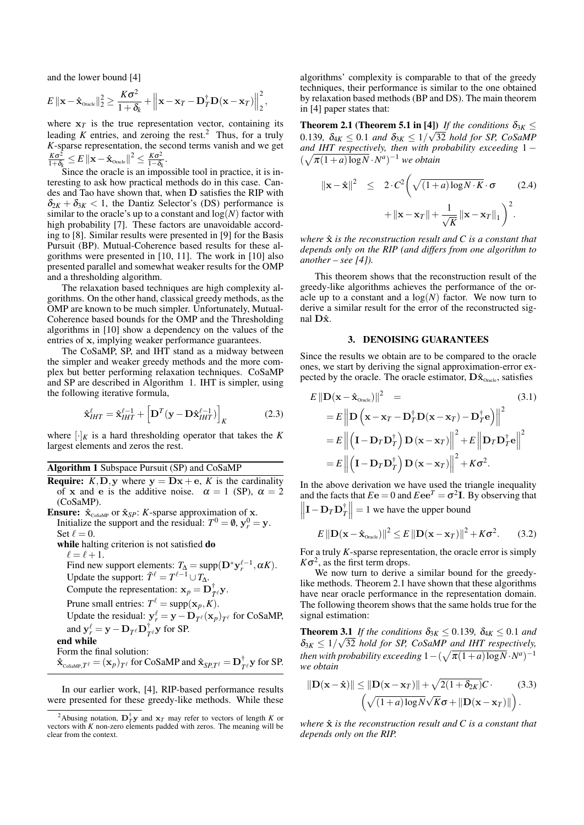and the lower bound [4]

$$
E \left\| \mathbf{x} - \hat{\mathbf{x}}_{\text{Oracle}} \right\|_2^2 \ge \frac{K\sigma^2}{1+\delta_k} + \left\| \mathbf{x} - \mathbf{x}_T - \mathbf{D}_T^{\dagger} \mathbf{D} (\mathbf{x} - \mathbf{x}_T) \right\|_2^2,
$$

where  $x_T$  is the true representation vector, containing its leading  $K$  entries, and zeroing the rest.<sup>2</sup> Thus, for a truly *K*-sparse representation, the second terms vanish and we get *K*<sup>σ</sup> 2  $\frac{K\sigma^2}{1+\delta_k} \leq E\left\|\mathbf{x}-\hat{\mathbf{x}}_{\text{Oracle}}\right\|^2 \leq \frac{K\sigma^2}{1-\delta_k}$  $\frac{K\sigma^2}{1-\delta_k}$ .

Since the oracle is an impossible tool in practice, it is interesting to ask how practical methods do in this case. Candes and Tao have shown that, when **D** satisfies the RIP with  $\delta_{2K} + \delta_{3K} < 1$ , the Dantiz Selector's (DS) performance is similar to the oracle's up to a constant and  $log(N)$  factor with high probability [7]. These factors are unavoidable according to [8]. Similar results were presented in [9] for the Basis Pursuit (BP). Mutual-Coherence based results for these algorithms were presented in [10, 11]. The work in [10] also presented parallel and somewhat weaker results for the OMP and a thresholding algorithm.

The relaxation based techniques are high complexity algorithms. On the other hand, classical greedy methods, as the OMP are known to be much simpler. Unfortunately, Mutual-Coherence based bounds for the OMP and the Thresholding algorithms in [10] show a dependency on the values of the entries of **x**, implying weaker performance guarantees.

The CoSaMP, SP, and IHT stand as a midway between the simpler and weaker greedy methods and the more complex but better performing relaxation techniques. CoSaMP and SP are described in Algorithm 1. IHT is simpler, using the following iterative formula,

$$
\hat{\mathbf{x}}_{IHT}^{\ell} = \hat{\mathbf{x}}_{IHT}^{\ell-1} + \left[ \mathbf{D}^T (\mathbf{y} - \mathbf{D} \hat{\mathbf{x}}_{IHT}^{\ell-1}) \right]_K
$$
 (2.3)

where  $[\cdot]_K$  is a hard thresholding operator that takes the *K* largest elements and zeros the rest.

## Algorithm 1 Subspace Pursuit (SP) and CoSaMP

- **Require:**  $K$ ,  $D$ ,  $y$  where  $y = Dx + e$ ,  $K$  is the cardinality of **x** and **e** is the additive noise.  $\alpha = 1$  (SP),  $\alpha = 2$ (CoSaMP).
- **Ensure:**  $\hat{\mathbf{x}}_{\text{CoSaMP}}$  or  $\hat{\mathbf{x}}_{SP}$ : *K*-sparse approximation of **x**. Initialize the support and the residual:  $T^0 = \emptyset$ ,  $y_r^0 = y$ . Set  $\ell = 0$ .

while halting criterion is not satisfied do

 $\ell = \ell + 1$ .

Find new support elements:  $T_{\Delta} = \text{supp}(\mathbf{D}^* \mathbf{y}_r^{\ell-1}, \alpha K)$ . Update the support:  $\tilde{T}^{\ell} = T^{\ell-1} \cup T_{\Delta}$ .

Compute the representation:  $\mathbf{x}_p = \mathbf{D}_{\tilde{T}}^{\dagger} \mathbf{y}$ .

Prune small entries:  $T^{\ell} = \text{supp}(\mathbf{x}_p, K)$ .

Update the residual:  $y_r^{\ell} = y - D_{T^{\ell}}(x_p)_{T^{\ell}}$  for CoSaMP, and  $\mathbf{y}_r^{\ell} = \mathbf{y} - \mathbf{D}_T \ell \mathbf{D}_T^{\dagger}$  $T_{\ell}$ **y** for SP.

end while

Form the final solution:  $\mathbf{\hat{x}}_{\text{cosamp},T^{\ell}} = (\mathbf{x}_p)_{T^{\ell}}$  for CoSaMP and  $\mathbf{\hat{x}}_{SP,T^{\ell}} = \mathbf{D}_T^{\dagger}$  $T_{\ell}$ **y** for SP.

In our earlier work, [4], RIP-based performance results were presented for these greedy-like methods. While these algorithms' complexity is comparable to that of the greedy techniques, their performance is similar to the one obtained by relaxation based methods (BP and DS). The main theorem in [4] paper states that:

**Theorem 2.1 (Theorem 5.1 in [4])** *If the conditions*  $\delta_{3K} \leq$ 0.139*,*  $\delta_{4K} \le 0.1$  *and*  $\delta_{3K} \le 1/\sqrt{32}$  *hold for SP, CoSaMP and IHT respectively, then with probability exceeding* 1 *−*  $(\sqrt{\pi(1+a)\log N} \cdot N^a)^{-1}$  *we obtain* 

$$
\|\mathbf{x} - \hat{\mathbf{x}}\|^2 \le 2 \cdot C^2 \left(\sqrt{(1+a)\log N \cdot K} \cdot \sigma \qquad (2.4) + \|\mathbf{x} - \mathbf{x}_T\| + \frac{1}{\sqrt{K}} \|\mathbf{x} - \mathbf{x}_T\|_1\right)^2.
$$

*where*  $\hat{\mathbf{x}}$  *is the reconstruction result and*  $C$  *is a constant that depends only on the RIP (and differs from one algorithm to another – see [4]).*

This theorem shows that the reconstruction result of the greedy-like algorithms achieves the performance of the oracle up to a constant and a  $log(N)$  factor. We now turn to derive a similar result for the error of the reconstructed signal **Dx**ˆ.

#### 3. DENOISING GUARANTEES

Since the results we obtain are to be compared to the oracle ones, we start by deriving the signal approximation-error expected by the oracle. The oracle estimator,  $\mathbf{D}\hat{\mathbf{x}}_{\text{oracle}}$ , satisfies

$$
E \|\mathbf{D}(\mathbf{x} - \hat{\mathbf{x}}_{\text{Oracle}})\|^2 = \qquad (3.1)
$$
  
\n
$$
= E \left\| \mathbf{D} \left( \mathbf{x} - \mathbf{x}_T - \mathbf{D}_T^{\dagger} \mathbf{D} (\mathbf{x} - \mathbf{x}_T) - \mathbf{D}_T^{\dagger} \mathbf{e} \right) \right\|^2
$$
  
\n
$$
= E \left\| \left( \mathbf{I} - \mathbf{D}_T \mathbf{D}_T^{\dagger} \right) \mathbf{D} (\mathbf{x} - \mathbf{x}_T) \right\|^2 + E \left\| \mathbf{D}_T \mathbf{D}_T^{\dagger} \mathbf{e} \right\|^2
$$
  
\n
$$
= E \left\| \left( \mathbf{I} - \mathbf{D}_T \mathbf{D}_T^{\dagger} \right) \mathbf{D} (\mathbf{x} - \mathbf{x}_T) \right\|^2 + K \sigma^2.
$$

In the above derivation we have used the triangle inequality and the facts that  $E\mathbf{e} = 0$  and  $E\mathbf{e}\mathbf{e}^T = \sigma^2 \mathbf{I}$ . By observing that **I***−***D***T***D** † *T*  $\parallel$  = 1 we have the upper bound

$$
E\left\|\mathbf{D}(\mathbf{x}-\hat{\mathbf{x}}_{\text{Oracle}})\right\|^2 \leq E\left\|\mathbf{D}(\mathbf{x}-\mathbf{x}_T)\right\|^2 + K\sigma^2. \tag{3.2}
$$

For a truly *K*-sparse representation, the oracle error is simply  $K\sigma^2$ , as the first term drops.

We now turn to derive a similar bound for the greedylike methods. Theorem 2.1 have shown that these algorithms have near oracle performance in the representation domain. The following theorem shows that the same holds true for the signal estimation:

**Theorem 3.1** *If the conditions*  $\delta_{3K} \leq 0.139$ *,*  $\delta_{4K} \leq 0.1$  *and*  $\delta_{3K} \leq 1/\sqrt{32}$  *hold for SP, CoSaMP and IHT respectively, then with probability exceeding*  $1 - (\sqrt{\pi(1+a)\log N} \cdot N^a)^{-1}$ *we obtain*

$$
\|\mathbf{D}(\mathbf{x}-\hat{\mathbf{x}})\| \le \|\mathbf{D}(\mathbf{x}-\mathbf{x}_T)\| + \sqrt{2(1+\delta_{2K})}C \qquad (3.3)
$$

$$
\left(\sqrt{(1+a)\log N}\sqrt{K}\sigma + \|\mathbf{D}(\mathbf{x}-\mathbf{x}_T)\|\right).
$$

*where*  $\hat{\mathbf{x}}$  *is the reconstruction result and*  $C$  *is a constant that depends only on the RIP.*

<sup>&</sup>lt;sup>2</sup>Abusing notation,  $\mathbf{D}_T^{\dagger} \mathbf{y}$  and  $\mathbf{x}_T$  may refer to vectors of length *K* or vectors with  $K$  non-zero elements padded with zeros. The meaning will be clear from the context.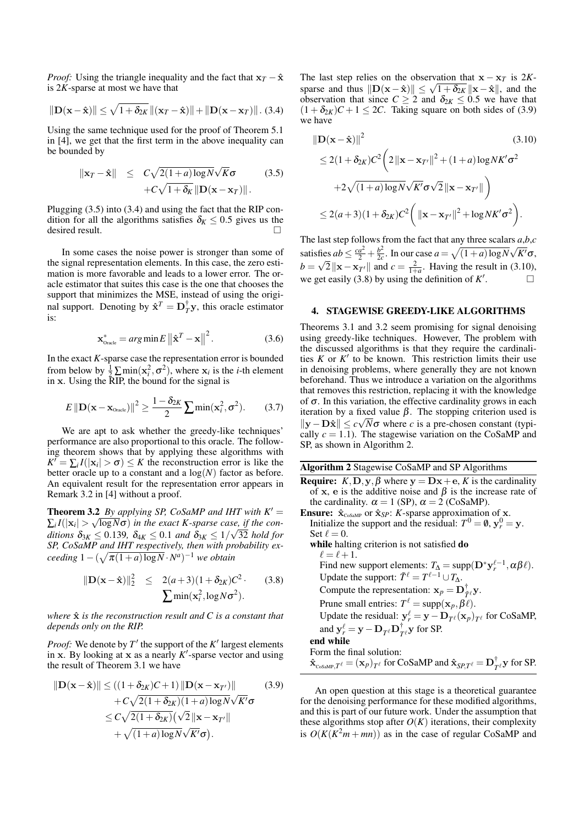*Proof:* Using the triangle inequality and the fact that  $\mathbf{x}_T - \hat{\mathbf{x}}$ is 2*K*-sparse at most we have that

$$
\|\mathbf{D}(\mathbf{x}-\hat{\mathbf{x}})\| \leq \sqrt{1+\delta_{2K}} \left\|(\mathbf{x}_T-\hat{\mathbf{x}})\right\| + \|\mathbf{D}(\mathbf{x}-\mathbf{x}_T)\|.\ (3.4)
$$

Using the same technique used for the proof of Theorem 5.1 in [4], we get that the first term in the above inequality can be bounded by

$$
\|\mathbf{x}_T - \hat{\mathbf{x}}\| \leq C\sqrt{2(1+a)\log N}\sqrt{K}\sigma \qquad (3.5)
$$

$$
+C\sqrt{1+\delta_K}\|\mathbf{D}(\mathbf{x}-\mathbf{x}_T)\|.
$$

Plugging (3.5) into (3.4) and using the fact that the RIP condition for all the algorithms satisfies  $\delta_K \leq 0.5$  gives us the desired result.

In some cases the noise power is stronger than some of the signal representation elements. In this case, the zero estimation is more favorable and leads to a lower error. The oracle estimator that suites this case is the one that chooses the support that minimizes the MSE, instead of using the original support. Denoting by  $\hat{\mathbf{x}}^T = \mathbf{D}_T^{\dagger} \mathbf{y}$ , this oracle estimator is:

$$
\mathbf{x}_{\text{Oracle}}^* = arg \min E \left\| \hat{\mathbf{x}}^T - \mathbf{x} \right\|^2. \tag{3.6}
$$

In the exact *K*-sparse case the representation error is bounded from below by  $\frac{1}{2} \sum \min(\mathbf{x}_i^2, \sigma^2)$ , where  $\mathbf{x}_i$  is the *i*-th element in **x**. Using the RIP, the bound for the signal is

$$
E \|\mathbf{D}(\mathbf{x} - \mathbf{x}_{\text{Oracle}})\|^2 \ge \frac{1 - \delta_{2K}}{2} \sum \min(\mathbf{x}_i^2, \sigma^2). \tag{3.7}
$$

We are apt to ask whether the greedy-like techniques' performance are also proportional to this oracle. The following theorem shows that by applying these algorithms with  $K' = \sum_i I(|\mathbf{x}_i| > \sigma) \leq K$  the reconstruction error is like the better oracle up to a constant and a  $log(N)$  factor as before. An equivalent result for the representation error appears in Remark 3.2 in [4] without a proof.

**Theorem 3.2** *By applying SP, CoSaMP and IHT with*  $K' =$  $\sum_i I(|\mathbf{x}_i| > \sqrt{\log N \sigma})$  *in the exact K-sparse case, if the conditions*  $\delta_{3K} \le 0.139$ ,  $\delta_{4K} \le 0.1$  *and*  $\delta_{3K} \le 1/\sqrt{32}$  *hold for SP, CoSaMP and IHT respectively, then with probability ex-* $\int$ *ceeding*  $1 - (\sqrt{\pi(1+a)\log N} \cdot N^a)^{-1}$  *we obtain* 

$$
\|\mathbf{D}(\mathbf{x} - \hat{\mathbf{x}})\|_2^2 \le 2(a+3)(1+\delta_{2K})C^2.
$$
 (3.8)  

$$
\sum \min(\mathbf{x}_i^2, \log N\sigma^2).
$$

*where*  $\hat{x}$  *is the reconstruction result and*  $C$  *is a constant that depends only on the RIP.*

*Proof:* We denote by *T ′* the support of the *K ′* largest elements in **x**. By looking at **x** as a nearly *K ′* -sparse vector and using the result of Theorem 3.1 we have

$$
\|\mathbf{D}(\mathbf{x} - \hat{\mathbf{x}})\| \le ((1 + \delta_{2K})C + 1) \|\mathbf{D}(\mathbf{x} - \mathbf{x}_{T'})\|
$$
(3.9)  
+  $C\sqrt{2(1 + \delta_{2K})(1 + a) \log N} \sqrt{K'} \sigma$   
 $\le C\sqrt{2(1 + \delta_{2K})} (\sqrt{2} \|\mathbf{x} - \mathbf{x}_{T'}\|$   
+  $\sqrt{(1 + a) \log N} \sqrt{K'} \sigma$ ).

The last step relies on the observation that  $\mathbf{x} - \mathbf{x}_T$  is 2*K*sparse and thus  $||D(x - \hat{x})|| \le \sqrt{1 + \delta_2}$   $||x - \hat{x}||$ , and the observation that since  $C \ge 2$  and  $\delta_{2K} \le 0.5$  we have that  $(1 + \delta_{2K})C + 1 \leq 2C$ . Taking square on both sides of (3.9) we have

$$
\|\mathbf{D}(\mathbf{x} - \hat{\mathbf{x}})\|^2
$$
\n
$$
\leq 2(1 + \delta_{2K})C^2 \left(2\|\mathbf{x} - \mathbf{x}_{T'}\|^2 + (1+a)\log NK'\sigma^2 + 2\sqrt{(1+a)\log N}\sqrt{K'}\sigma\sqrt{2}\|\mathbf{x} - \mathbf{x}_{T'}\|\right)
$$
\n
$$
\leq 2(a+3)(1 + \delta_{2K})C^2 \left(\|\mathbf{x} - \mathbf{x}_{T'}\|^2 + \log NK'\sigma^2\right).
$$
\n(3.10)

The last step follows from the fact that any three scalars *a*,*b*,*c* satisfies  $ab \leq \frac{ca^2}{2} + \frac{b^2}{2c}$  $\frac{b^2}{2c}$ . In our case  $a = \sqrt{(1+a)\log N}\sqrt{K'}\sigma$ ,  $b = \sqrt{2} ||\mathbf{x} - \mathbf{x}_T||$  and  $c = \frac{2}{1+a}$ . Having the result in (3.10), we get easily (3.8) by using the definition of *K ′* . — П

### 4. STAGEWISE GREEDY-LIKE ALGORITHMS

Theorems 3.1 and 3.2 seem promising for signal denoising using greedy-like techniques. However, The problem with the discussed algorithms is that they require the cardinalities  $K$  or  $K'$  to be known. This restriction limits their use in denoising problems, where generally they are not known beforehand. Thus we introduce a variation on the algorithms that removes this restriction, replacing it with the knowledge of  $\sigma$ . In this variation, the effective cardinality grows in each iteration by a fixed value  $\beta$ . The stopping criterion used is  $||$ **y** −**D** $\hat{\mathbf{x}}$ <sup>*|*</sup>  $\leq$  *c* $\sqrt{N}$ σ where *c* is a pre-chosen constant (typically  $c = 1.1$ ). The stagewise variation on the CoSaMP and SP, as shown in Algorithm 2.

Algorithm 2 Stagewise CoSaMP and SP Algorithms

- **Require:**  $K, D, \mathbf{v}, \beta$  where  $\mathbf{v} = D\mathbf{x} + \mathbf{e}, K$  is the cardinality of **x**, **e** is the additive noise and  $\beta$  is the increase rate of the cardinality.  $\alpha = 1$  (SP),  $\alpha = 2$  (CoSaMP).
- **Ensure:**  $\hat{\mathbf{x}}_{\text{cosamp}}$  or  $\hat{\mathbf{x}}_{SP}$ : *K*-sparse approximation of **x**. Initialize the support and the residual:  $T^0 = \emptyset$ ,  $y_r^0 = y$ . Set  $\ell = 0$ . while halting criterion is not satisfied do

 $\ell = \ell + 1$ . Find new support elements:  $T_{\Delta} = \text{supp}(\mathbf{D}^* \mathbf{y}_r^{\ell-1}, \alpha \beta \ell).$ Update the support:  $\tilde{T}^{\ell} = T^{\ell-1} \cup T_{\Delta}$ . Compute the representation:  $\mathbf{x}_p = \mathbf{D}_{\tilde{T}}^{\dagger} y$ . Prune small entries:  $T^{\ell} = \text{supp}(\mathbf{x}_p, \beta \ell)$ . Update the residual:  $y_r^{\ell} = y - D_{T^{\ell}}(x_p)_{T^{\ell}}$  for CoSaMP, and  $\mathbf{y}_r^{\ell} = \mathbf{y} - \mathbf{D}_{T^{\ell}} \mathbf{D}_T^{\dagger}$  $T_{\ell}$ **y** for SP. end while Form the final solution:  $\mathbf{\hat{x}}_{\text{cosamp},\mathit{T}^\ell} = (\mathbf{x}_p)_{\mathit{T}^\ell}$  for CoSaMP and  $\mathbf{\hat{x}}_{\text{SP},\mathit{T}^\ell} = \mathbf{D}^\dagger_{\mathit{T}^\ell}$  $T_{T}^{\dagger}$ **y** for SP.

An open question at this stage is a theoretical guarantee for the denoising performance for these modified algorithms, and this is part of our future work. Under the assumption that these algorithms stop after  $O(K)$  iterations, their complexity is  $O(K(K^2m + mn))$  as in the case of regular CoSaMP and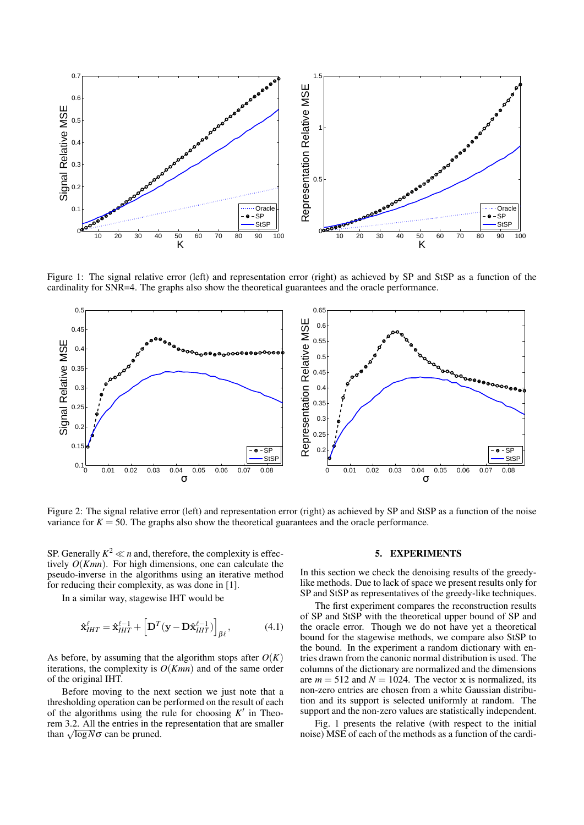

Figure 1: The signal relative error (left) and representation error (right) as achieved by SP and StSP as a function of the cardinality for SNR=4. The graphs also show the theoretical guarantees and the oracle performance.



Figure 2: The signal relative error (left) and representation error (right) as achieved by SP and StSP as a function of the noise variance for  $K = 50$ . The graphs also show the theoretical guarantees and the oracle performance.

SP. Generally  $K^2 \ll n$  and, therefore, the complexity is effectively *O*(*Kmn*). For high dimensions, one can calculate the pseudo-inverse in the algorithms using an iterative method for reducing their complexity, as was done in [1].

In a similar way, stagewise IHT would be

$$
\hat{\mathbf{x}}_{IHT}^{\ell} = \hat{\mathbf{x}}_{IHT}^{\ell-1} + \left[ \mathbf{D}^T (\mathbf{y} - \mathbf{D} \hat{\mathbf{x}}_{IHT}^{\ell-1}) \right]_{\beta \ell}, \tag{4.1}
$$

As before, by assuming that the algorithm stops after  $O(K)$ iterations, the complexity is  $O(Kmn)$  and of the same order of the original IHT.

Before moving to the next section we just note that a thresholding operation can be performed on the result of each of the algorithms using the rule for choosing *K ′* in Theorem 3.2. All the entries in the representation that are smaller than  $\sqrt{\log N} \sigma$  can be pruned.

#### 5. EXPERIMENTS

In this section we check the denoising results of the greedylike methods. Due to lack of space we present results only for SP and StSP as representatives of the greedy-like techniques.

The first experiment compares the reconstruction results of SP and StSP with the theoretical upper bound of SP and the oracle error. Though we do not have yet a theoretical bound for the stagewise methods, we compare also StSP to the bound. In the experiment a random dictionary with entries drawn from the canonic normal distribution is used. The columns of the dictionary are normalized and the dimensions are  $m = 512$  and  $N = 1024$ . The vector **x** is normalized, its non-zero entries are chosen from a white Gaussian distribution and its support is selected uniformly at random. The support and the non-zero values are statistically independent.

Fig. 1 presents the relative (with respect to the initial noise) MSE of each of the methods as a function of the cardi-